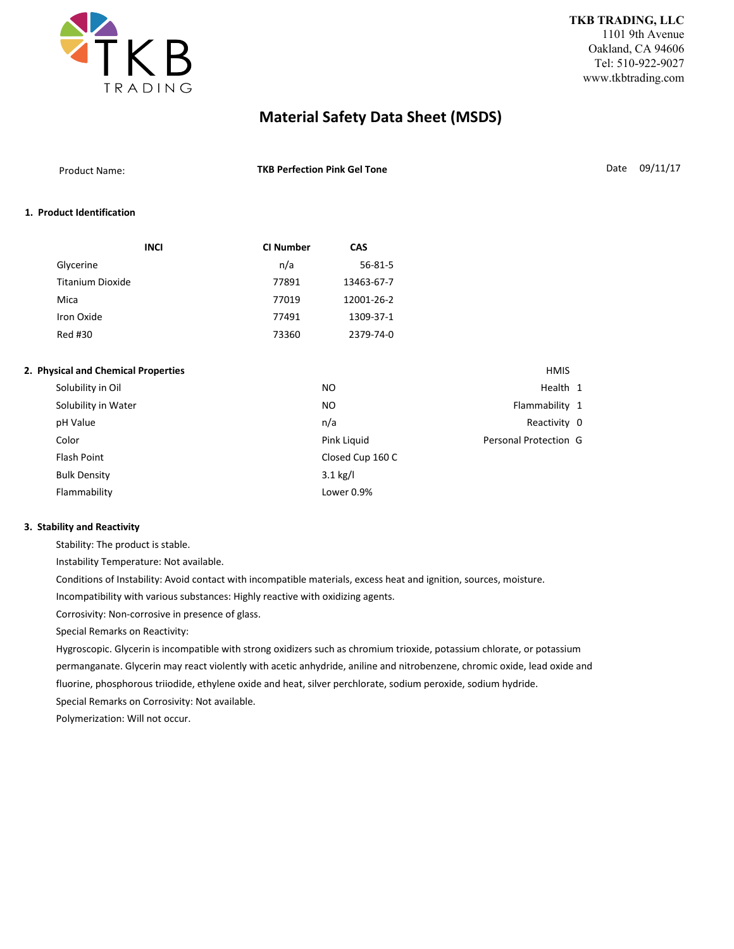

| <b>Product Name:</b> | <b>TKB Perfection Pink Gel Tone</b> | Date 09/11/17 |
|----------------------|-------------------------------------|---------------|
|                      |                                     |               |

## **1. Product Identification**

| <b>INCI</b>             | <b>CI Number</b> | <b>CAS</b>    |
|-------------------------|------------------|---------------|
| Glycerine               | n/a              | $56 - 81 - 5$ |
| <b>Titanium Dioxide</b> | 77891            | 13463-67-7    |
| Mica                    | 77019            | 12001-26-2    |
| Iron Oxide              | 77491            | 1309-37-1     |
| Red #30                 | 73360            | 2379-74-0     |

### **2. Physical and Chemical Properties HMIS 2. Physical and Chemical Properties**

| Solubility in Oil   | N <sub>O</sub>   | Health 1              |  |
|---------------------|------------------|-----------------------|--|
| Solubility in Water | NO.              | Flammability 1        |  |
| pH Value            | n/a              | Reactivity 0          |  |
| Color               | Pink Liquid      | Personal Protection G |  |
| Flash Point         | Closed Cup 160 C |                       |  |
| <b>Bulk Density</b> | $3.1$ kg/l       |                       |  |
| Flammability        | Lower 0.9%       |                       |  |

#### **3. Stability and Reactivity**

Stability: The product is stable.

Instability Temperature: Not available.

Conditions of Instability: Avoid contact with incompatible materials, excess heat and ignition, sources, moisture.

Incompatibility with various substances: Highly reactive with oxidizing agents.

Corrosivity: Non-corrosive in presence of glass.

Special Remarks on Reactivity:

Hygroscopic. Glycerin is incompatible with strong oxidizers such as chromium trioxide, potassium chlorate, or potassium permanganate. Glycerin may react violently with acetic anhydride, aniline and nitrobenzene, chromic oxide, lead oxide and fluorine, phosphorous triiodide, ethylene oxide and heat, silver perchlorate, sodium peroxide, sodium hydride. Special Remarks on Corrosivity: Not available.

Polymerization: Will not occur.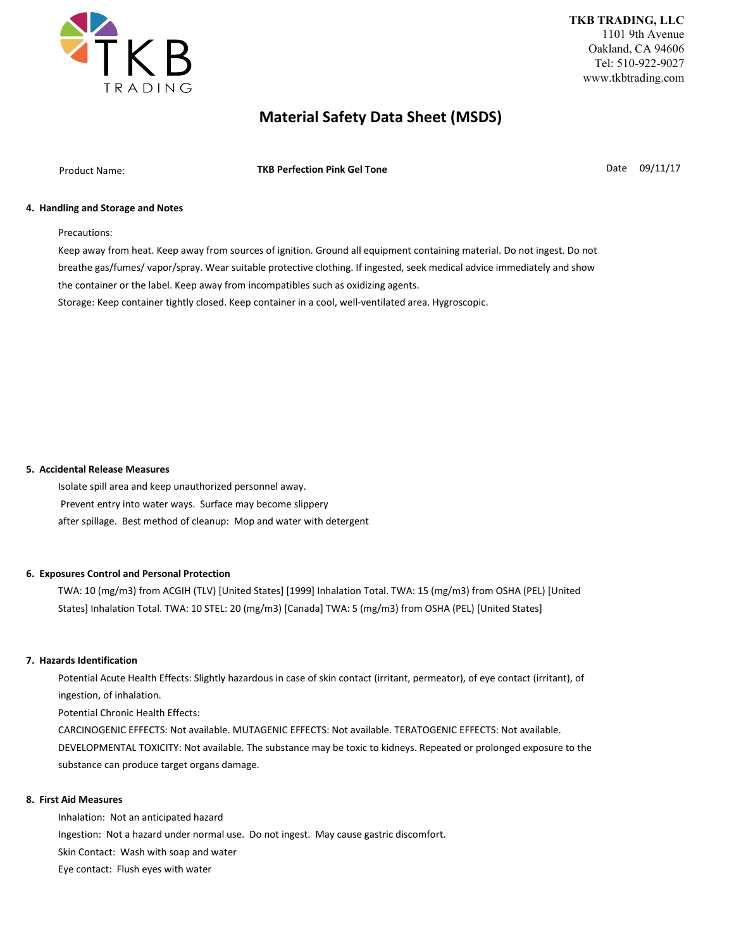

Product Name: **TKB Perfection Pink Gel Tone Community Contract Product Name:** Date 09/11/17

### **4. Handling and Storage and Notes**

Precautions:

Keep away from heat. Keep away from sources of ignition. Ground all equipment containing material. Do not ingest. Do not breathe gas/fumes/ vapor/spray. Wear suitable protective clothing. If ingested, seek medical advice immediately and show the container or the label. Keep away from incompatibles such as oxidizing agents. Storage: Keep container tightly closed. Keep container in a cool, well-ventilated area. Hygroscopic.

#### **5. Accidental Release Measures**

Isolate spill area and keep unauthorized personnel away. Prevent entry into water ways. Surface may become slippery after spillage. Best method of cleanup: Mop and water with detergent

## **6. Exposures Control and Personal Protection**

TWA: 10 (mg/m3) from ACGIH (TLV) [United States] [1999] Inhalation Total. TWA: 15 (mg/m3) from OSHA (PEL) [United States] Inhalation Total. TWA: 10 STEL: 20 (mg/m3) [Canada] TWA: 5 (mg/m3) from OSHA (PEL) [United States]

#### **7. Hazards Identification**

Potential Acute Health Effects: Slightly hazardous in case of skin contact (irritant, permeator), of eye contact (irritant), of ingestion, of inhalation.

Potential Chronic Health Effects:

CARCINOGENIC EFFECTS: Not available. MUTAGENIC EFFECTS: Not available. TERATOGENIC EFFECTS: Not available. DEVELOPMENTAL TOXICITY: Not available. The substance may be toxic to kidneys. Repeated or prolonged exposure to the substance can produce target organs damage.

#### **8. First Aid Measures**

Inhalation: Not an anticipated hazard Ingestion: Not a hazard under normal use. Do not ingest. May cause gastric discomfort. Skin Contact: Wash with soap and water Eye contact: Flush eyes with water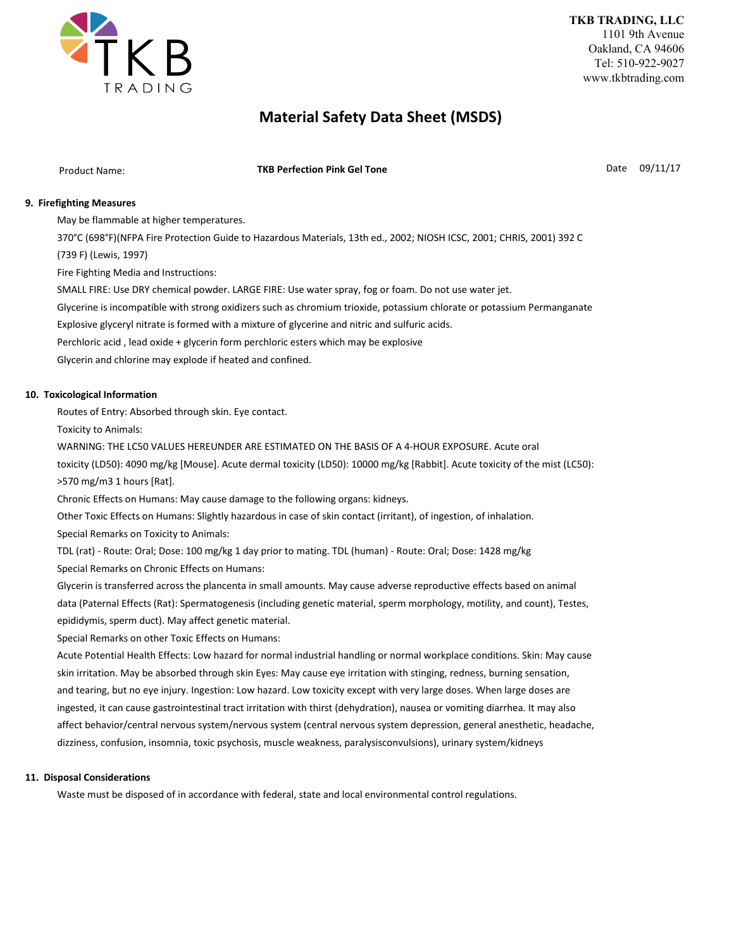

Product Name: **Date 199/11/17 TKB Perfection Pink Gel Tone Contained Account 199/11/17 Date 19/11/17** 

## **9. Firefighting Measures**

May be flammable at higher temperatures.

370°C (698°F)(NFPA Fire Protection Guide to Hazardous Materials, 13th ed., 2002; NIOSH ICSC, 2001; CHRIS, 2001) 392 C

(739 F) (Lewis, 1997)

Fire Fighting Media and Instructions:

SMALL FIRE: Use DRY chemical powder. LARGE FIRE: Use water spray, fog or foam. Do not use water jet.

Glycerine is incompatible with strong oxidizers such as chromium trioxide, potassium chlorate or potassium Permanganate

Explosive glyceryl nitrate is formed with a mixture of glycerine and nitric and sulfuric acids.

Perchloric acid , lead oxide + glycerin form perchloric esters which may be explosive

Glycerin and chlorine may explode if heated and confined.

### **10. Toxicological Information**

Routes of Entry: Absorbed through skin. Eye contact.

Toxicity to Animals:

WARNING: THE LC50 VALUES HEREUNDER ARE ESTIMATED ON THE BASIS OF A 4-HOUR EXPOSURE. Acute oral

toxicity (LD50): 4090 mg/kg [Mouse]. Acute dermal toxicity (LD50): 10000 mg/kg [Rabbit]. Acute toxicity of the mist (LC50): >570 mg/m3 1 hours [Rat].

Chronic Effects on Humans: May cause damage to the following organs: kidneys.

Other Toxic Effects on Humans: Slightly hazardous in case of skin contact (irritant), of ingestion, of inhalation.

Special Remarks on Toxicity to Animals:

TDL (rat) - Route: Oral; Dose: 100 mg/kg 1 day prior to mating. TDL (human) - Route: Oral; Dose: 1428 mg/kg Special Remarks on Chronic Effects on Humans:

Glycerin is transferred across the plancenta in small amounts. May cause adverse reproductive effects based on animal data (Paternal Effects (Rat): Spermatogenesis (including genetic material, sperm morphology, motility, and count), Testes, epididymis, sperm duct). May affect genetic material.

Special Remarks on other Toxic Effects on Humans:

Acute Potential Health Effects: Low hazard for normal industrial handling or normal workplace conditions. Skin: May cause skin irritation. May be absorbed through skin Eyes: May cause eye irritation with stinging, redness, burning sensation, and tearing, but no eye injury. Ingestion: Low hazard. Low toxicity except with very large doses. When large doses are ingested, it can cause gastrointestinal tract irritation with thirst (dehydration), nausea or vomiting diarrhea. It may also affect behavior/central nervous system/nervous system (central nervous system depression, general anesthetic, headache, dizziness, confusion, insomnia, toxic psychosis, muscle weakness, paralysisconvulsions), urinary system/kidneys

#### **11. Disposal Considerations**

Waste must be disposed of in accordance with federal, state and local environmental control regulations.